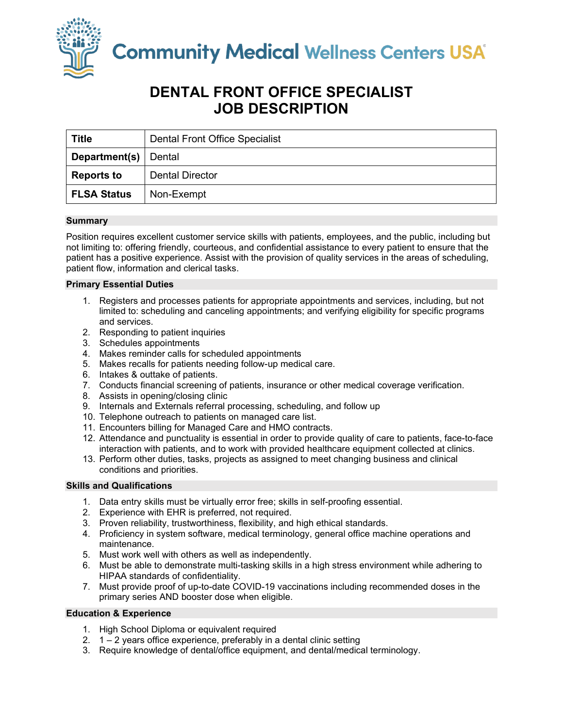

# **DENTAL FRONT OFFICE SPECIALIST JOB DESCRIPTION**

| <b>Title</b>       | <b>Dental Front Office Specialist</b> |
|--------------------|---------------------------------------|
| Department(s)      | Dental                                |
| <b>Reports to</b>  | <b>Dental Director</b>                |
| <b>FLSA Status</b> | Non-Exempt                            |

# **Summary**

Position requires excellent customer service skills with patients, employees, and the public, including but not limiting to: offering friendly, courteous, and confidential assistance to every patient to ensure that the patient has a positive experience. Assist with the provision of quality services in the areas of scheduling, patient flow, information and clerical tasks.

## **Primary Essential Duties**

- 1. Registers and processes patients for appropriate appointments and services, including, but not limited to: scheduling and canceling appointments; and verifying eligibility for specific programs and services.
- 2. Responding to patient inquiries
- 3. Schedules appointments
- 4. Makes reminder calls for scheduled appointments
- 5. Makes recalls for patients needing follow-up medical care.
- 6. Intakes & outtake of patients.
- 7. Conducts financial screening of patients, insurance or other medical coverage verification.
- 8. Assists in opening/closing clinic
- 9. Internals and Externals referral processing, scheduling, and follow up
- 10. Telephone outreach to patients on managed care list.
- 11. Encounters billing for Managed Care and HMO contracts.
- 12. Attendance and punctuality is essential in order to provide quality of care to patients, face-to-face interaction with patients, and to work with provided healthcare equipment collected at clinics.
- 13. Perform other duties, tasks, projects as assigned to meet changing business and clinical conditions and priorities.

## **Skills and Qualifications**

- 1. Data entry skills must be virtually error free; skills in self-proofing essential.
- 2. Experience with EHR is preferred, not required.
- 3. Proven reliability, trustworthiness, flexibility, and high ethical standards.
- 4. Proficiency in system software, medical terminology, general office machine operations and maintenance.
- 5. Must work well with others as well as independently.
- 6. Must be able to demonstrate multi-tasking skills in a high stress environment while adhering to HIPAA standards of confidentiality.
- 7. Must provide proof of up-to-date COVID-19 vaccinations including recommended doses in the primary series AND booster dose when eligible.

## **Education & Experience**

- 1. High School Diploma or equivalent required
- 2. 1 2 years office experience, preferably in a dental clinic setting
- 3. Require knowledge of dental/office equipment, and dental/medical terminology.